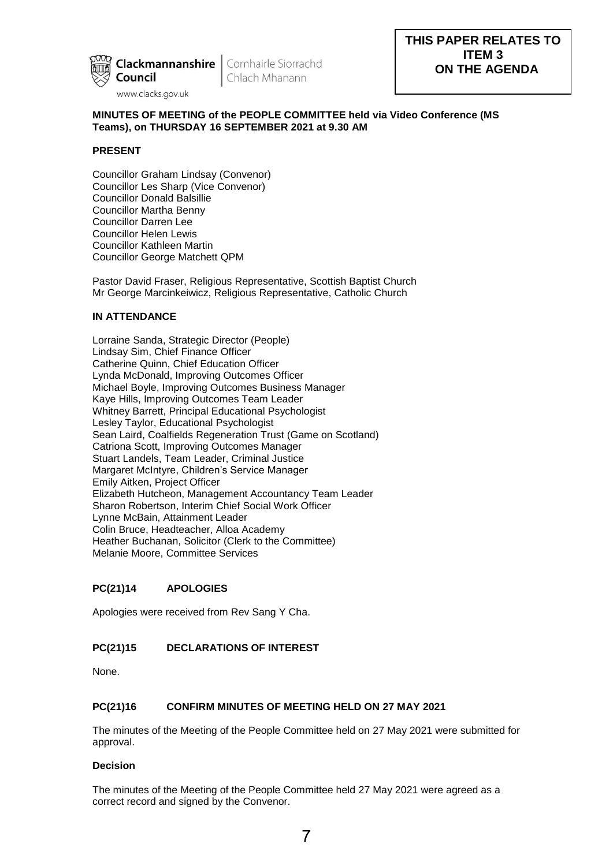

Chlach Mhanann

# **MINUTES OF MEETING of the PEOPLE COMMITTEE held via Video Conference (MS Teams), on THURSDAY 16 SEPTEMBER 2021 at 9.30 AM**

## **PRESENT**

Councillor Graham Lindsay (Convenor) Councillor Les Sharp (Vice Convenor) Councillor Donald Balsillie Councillor Martha Benny Councillor Darren Lee Councillor Helen Lewis Councillor Kathleen Martin Councillor George Matchett QPM

Pastor David Fraser, Religious Representative, Scottish Baptist Church Mr George Marcinkeiwicz, Religious Representative, Catholic Church

# **IN ATTENDANCE**

Lorraine Sanda, Strategic Director (People) Lindsay Sim, Chief Finance Officer Catherine Quinn, Chief Education Officer Lynda McDonald, Improving Outcomes Officer Michael Boyle, Improving Outcomes Business Manager Kaye Hills, Improving Outcomes Team Leader Whitney Barrett, Principal Educational Psychologist Lesley Taylor, Educational Psychologist Sean Laird, Coalfields Regeneration Trust (Game on Scotland) Catriona Scott, Improving Outcomes Manager Stuart Landels, Team Leader, Criminal Justice Margaret McIntyre, Children's Service Manager Emily Aitken, Project Officer Elizabeth Hutcheon, Management Accountancy Team Leader Sharon Robertson, Interim Chief Social Work Officer Lynne McBain, Attainment Leader Colin Bruce, Headteacher, Alloa Academy Heather Buchanan, Solicitor (Clerk to the Committee) Melanie Moore, Committee Services

### **PC(21)14 APOLOGIES**

Apologies were received from Rev Sang Y Cha.

# **PC(21)15 DECLARATIONS OF INTEREST**

None.

## **PC(21)16 CONFIRM MINUTES OF MEETING HELD ON 27 MAY 2021**

The minutes of the Meeting of the People Committee held on 27 May 2021 were submitted for approval.

### **Decision**

The minutes of the Meeting of the People Committee held 27 May 2021 were agreed as a correct record and signed by the Convenor.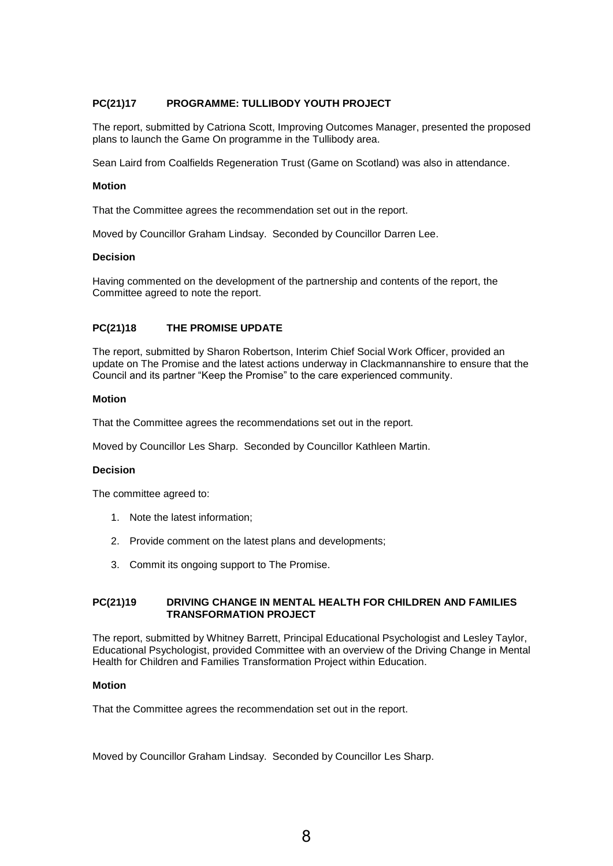## **PC(21)17 PROGRAMME: TULLIBODY YOUTH PROJECT**

The report, submitted by Catriona Scott, Improving Outcomes Manager, presented the proposed plans to launch the Game On programme in the Tullibody area.

Sean Laird from Coalfields Regeneration Trust (Game on Scotland) was also in attendance.

#### **Motion**

That the Committee agrees the recommendation set out in the report.

Moved by Councillor Graham Lindsay. Seconded by Councillor Darren Lee.

#### **Decision**

Having commented on the development of the partnership and contents of the report, the Committee agreed to note the report.

### **PC(21)18 THE PROMISE UPDATE**

The report, submitted by Sharon Robertson, Interim Chief Social Work Officer, provided an update on The Promise and the latest actions underway in Clackmannanshire to ensure that the Council and its partner "Keep the Promise" to the care experienced community.

### **Motion**

That the Committee agrees the recommendations set out in the report.

Moved by Councillor Les Sharp. Seconded by Councillor Kathleen Martin.

#### **Decision**

The committee agreed to:

- 1. Note the latest information;
- 2. Provide comment on the latest plans and developments;
- 3. Commit its ongoing support to The Promise.

### **PC(21)19 DRIVING CHANGE IN MENTAL HEALTH FOR CHILDREN AND FAMILIES TRANSFORMATION PROJECT**

The report, submitted by Whitney Barrett, Principal Educational Psychologist and Lesley Taylor, Educational Psychologist, provided Committee with an overview of the Driving Change in Mental Health for Children and Families Transformation Project within Education.

### **Motion**

That the Committee agrees the recommendation set out in the report.

Moved by Councillor Graham Lindsay. Seconded by Councillor Les Sharp.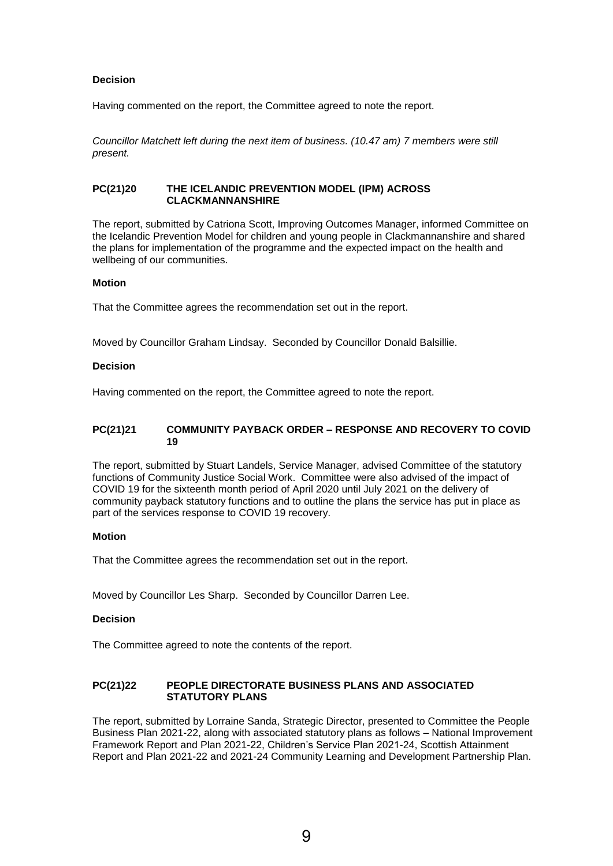# **Decision**

Having commented on the report, the Committee agreed to note the report.

*Councillor Matchett left during the next item of business. (10.47 am) 7 members were still present.* 

## **PC(21)20 THE ICELANDIC PREVENTION MODEL (IPM) ACROSS CLACKMANNANSHIRE**

The report, submitted by Catriona Scott, Improving Outcomes Manager, informed Committee on the Icelandic Prevention Model for children and young people in Clackmannanshire and shared the plans for implementation of the programme and the expected impact on the health and wellbeing of our communities.

### **Motion**

That the Committee agrees the recommendation set out in the report.

Moved by Councillor Graham Lindsay. Seconded by Councillor Donald Balsillie.

### **Decision**

Having commented on the report, the Committee agreed to note the report.

### **PC(21)21 COMMUNITY PAYBACK ORDER – RESPONSE AND RECOVERY TO COVID 19**

The report, submitted by Stuart Landels, Service Manager, advised Committee of the statutory functions of Community Justice Social Work. Committee were also advised of the impact of COVID 19 for the sixteenth month period of April 2020 until July 2021 on the delivery of community payback statutory functions and to outline the plans the service has put in place as part of the services response to COVID 19 recovery.

### **Motion**

That the Committee agrees the recommendation set out in the report.

Moved by Councillor Les Sharp. Seconded by Councillor Darren Lee.

### **Decision**

The Committee agreed to note the contents of the report.

## **PC(21)22 PEOPLE DIRECTORATE BUSINESS PLANS AND ASSOCIATED STATUTORY PLANS**

The report, submitted by Lorraine Sanda, Strategic Director, presented to Committee the People Business Plan 2021-22, along with associated statutory plans as follows – National Improvement Framework Report and Plan 2021-22, Children's Service Plan 2021-24, Scottish Attainment Report and Plan 2021-22 and 2021-24 Community Learning and Development Partnership Plan.